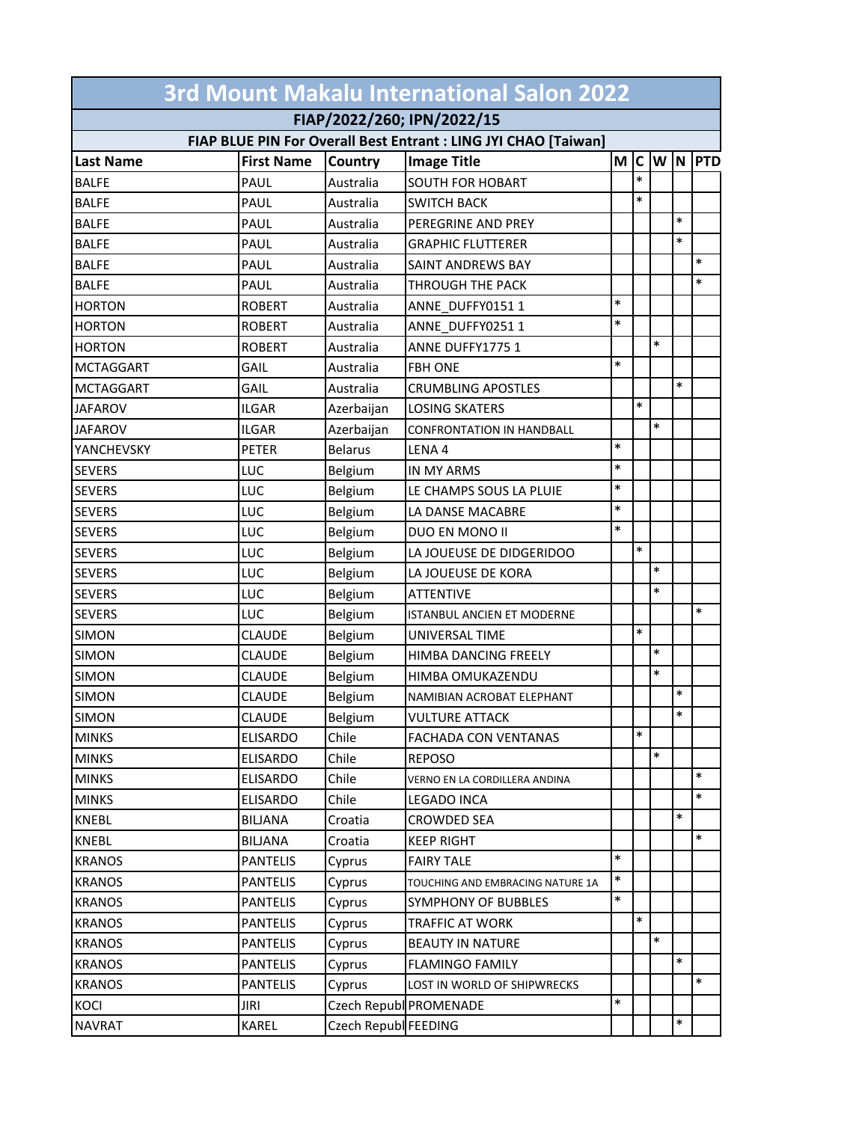| 3rd Mount Makalu International Salon 2022                       |                   |                      |                                  |        |        |               |        |            |  |  |  |
|-----------------------------------------------------------------|-------------------|----------------------|----------------------------------|--------|--------|---------------|--------|------------|--|--|--|
| FIAP/2022/260; IPN/2022/15                                      |                   |                      |                                  |        |        |               |        |            |  |  |  |
| FIAP BLUE PIN For Overall Best Entrant : LING JYI CHAO [Taiwan] |                   |                      |                                  |        |        |               |        |            |  |  |  |
| <b>Last Name</b>                                                | <b>First Name</b> | Country              | <b>Image Title</b>               | M      |        | $ C $ W $ N $ |        | <b>PTD</b> |  |  |  |
| <b>BALFE</b>                                                    | PAUL              | Australia            | <b>SOUTH FOR HOBART</b>          |        | $\ast$ |               |        |            |  |  |  |
| <b>BALFE</b>                                                    | PAUL              | Australia            | <b>SWITCH BACK</b>               |        | $\ast$ |               |        |            |  |  |  |
| <b>BALFE</b>                                                    | PAUL              | Australia            | PEREGRINE AND PREY               |        |        |               | $\ast$ |            |  |  |  |
| <b>BALFE</b>                                                    | PAUL              | Australia            | <b>GRAPHIC FLUTTERER</b>         |        |        |               | $\ast$ |            |  |  |  |
| <b>BALFE</b>                                                    | PAUL              | Australia            | <b>SAINT ANDREWS BAY</b>         |        |        |               |        | $\ast$     |  |  |  |
| <b>BALFE</b>                                                    | PAUL              | Australia            | THROUGH THE PACK                 |        |        |               |        | $\ast$     |  |  |  |
| <b>HORTON</b>                                                   | <b>ROBERT</b>     | Australia            | ANNE DUFFY0151 1                 | $\ast$ |        |               |        |            |  |  |  |
| <b>HORTON</b>                                                   | <b>ROBERT</b>     | Australia            | ANNE DUFFY02511                  | $\ast$ |        |               |        |            |  |  |  |
| <b>HORTON</b>                                                   | <b>ROBERT</b>     | Australia            | ANNE DUFFY1775 1                 |        |        | $\ast$        |        |            |  |  |  |
| <b>MCTAGGART</b>                                                | GAIL              | Australia            | <b>FBH ONE</b>                   | $\ast$ |        |               |        |            |  |  |  |
| <b>MCTAGGART</b>                                                | GAIL              | Australia            | <b>CRUMBLING APOSTLES</b>        |        |        |               | $\ast$ |            |  |  |  |
| <b>JAFAROV</b>                                                  | <b>ILGAR</b>      | Azerbaijan           | <b>LOSING SKATERS</b>            |        | $\ast$ |               |        |            |  |  |  |
| <b>JAFAROV</b>                                                  | ILGAR             | Azerbaijan           | <b>CONFRONTATION IN HANDBALL</b> |        |        | $\ast$        |        |            |  |  |  |
| YANCHEVSKY                                                      | <b>PETER</b>      | <b>Belarus</b>       | LENA 4                           | $\ast$ |        |               |        |            |  |  |  |
| <b>SEVERS</b>                                                   | LUC               | Belgium              | <b>IN MY ARMS</b>                | $\ast$ |        |               |        |            |  |  |  |
| <b>SEVERS</b>                                                   | LUC               | Belgium              | LE CHAMPS SOUS LA PLUIE          | $\ast$ |        |               |        |            |  |  |  |
| <b>SEVERS</b>                                                   | LUC               | Belgium              | LA DANSE MACABRE                 | $\ast$ |        |               |        |            |  |  |  |
| <b>SEVERS</b>                                                   | LUC               | Belgium              | DUO EN MONO II                   | $\ast$ |        |               |        |            |  |  |  |
| <b>SEVERS</b>                                                   | LUC               | Belgium              | LA JOUEUSE DE DIDGERIDOO         |        | $\ast$ |               |        |            |  |  |  |
| <b>SEVERS</b>                                                   | LUC               | Belgium              | LA JOUEUSE DE KORA               |        |        | $\ast$        |        |            |  |  |  |
| <b>SEVERS</b>                                                   | LUC               | Belgium              | <b>ATTENTIVE</b>                 |        |        | $\ast$        |        |            |  |  |  |
| <b>SEVERS</b>                                                   | LUC               | Belgium              | ISTANBUL ANCIEN ET MODERNE       |        |        |               |        | $\ast$     |  |  |  |
| <b>SIMON</b>                                                    | <b>CLAUDE</b>     | Belgium              | UNIVERSAL TIME                   |        | $\ast$ |               |        |            |  |  |  |
| <b>SIMON</b>                                                    | <b>CLAUDE</b>     | Belgium              | HIMBA DANCING FREELY             |        |        | $\ast$        |        |            |  |  |  |
| <b>SIMON</b>                                                    | <b>CLAUDE</b>     | Belgium              | HIMBA OMUKAZENDU                 |        |        | $\ast$        |        |            |  |  |  |
| <b>SIMON</b>                                                    | <b>CLAUDE</b>     | Belgium              | NAMIBIAN ACROBAT ELEPHANT        |        |        |               | $\ast$ |            |  |  |  |
| <b>SIMON</b>                                                    | <b>CLAUDE</b>     | Belgium              | <b>VULTURE ATTACK</b>            |        |        |               |        |            |  |  |  |
| <b>MINKS</b>                                                    | <b>ELISARDO</b>   | Chile                | <b>FACHADA CON VENTANAS</b>      |        | $\ast$ |               |        |            |  |  |  |
| <b>MINKS</b>                                                    | <b>ELISARDO</b>   | Chile                | <b>REPOSO</b>                    |        |        | $\ast$        |        |            |  |  |  |
| <b>MINKS</b>                                                    | <b>ELISARDO</b>   | Chile                | VERNO EN LA CORDILLERA ANDINA    |        |        |               |        | $\ast$     |  |  |  |
| <b>MINKS</b>                                                    | <b>ELISARDO</b>   | Chile                | LEGADO INCA                      |        |        |               |        | $\ast$     |  |  |  |
| KNEBL                                                           | <b>BILJANA</b>    | Croatia              | <b>CROWDED SEA</b>               |        |        |               | $\ast$ |            |  |  |  |
| <b>KNEBL</b>                                                    | <b>BILJANA</b>    | Croatia              | <b>KEEP RIGHT</b>                |        |        |               |        | $\ast$     |  |  |  |
| <b>KRANOS</b>                                                   | <b>PANTELIS</b>   | Cyprus               | <b>FAIRY TALE</b>                | $\ast$ |        |               |        |            |  |  |  |
| <b>KRANOS</b>                                                   | <b>PANTELIS</b>   | Cyprus               | TOUCHING AND EMBRACING NATURE 1A | $\ast$ |        |               |        |            |  |  |  |
| <b>KRANOS</b>                                                   | <b>PANTELIS</b>   | Cyprus               | SYMPHONY OF BUBBLES              | $\ast$ |        |               |        |            |  |  |  |
| <b>KRANOS</b>                                                   | <b>PANTELIS</b>   | Cyprus               | <b>TRAFFIC AT WORK</b>           |        | $\ast$ |               |        |            |  |  |  |
| <b>KRANOS</b>                                                   | <b>PANTELIS</b>   | Cyprus               | <b>BEAUTY IN NATURE</b>          |        |        | $\ast$        |        |            |  |  |  |
| <b>KRANOS</b>                                                   | <b>PANTELIS</b>   | Cyprus               | <b>FLAMINGO FAMILY</b>           |        |        |               | $\ast$ |            |  |  |  |
| <b>KRANOS</b>                                                   | <b>PANTELIS</b>   | Cyprus               | LOST IN WORLD OF SHIPWRECKS      |        |        |               |        | $\ast$     |  |  |  |
| <b>KOCI</b>                                                     | <b>JIRI</b>       |                      | Czech Republ PROMENADE           | $\ast$ |        |               |        |            |  |  |  |
| <b>NAVRAT</b>                                                   | KAREL             | Czech Republ FEEDING |                                  |        |        |               | $\ast$ |            |  |  |  |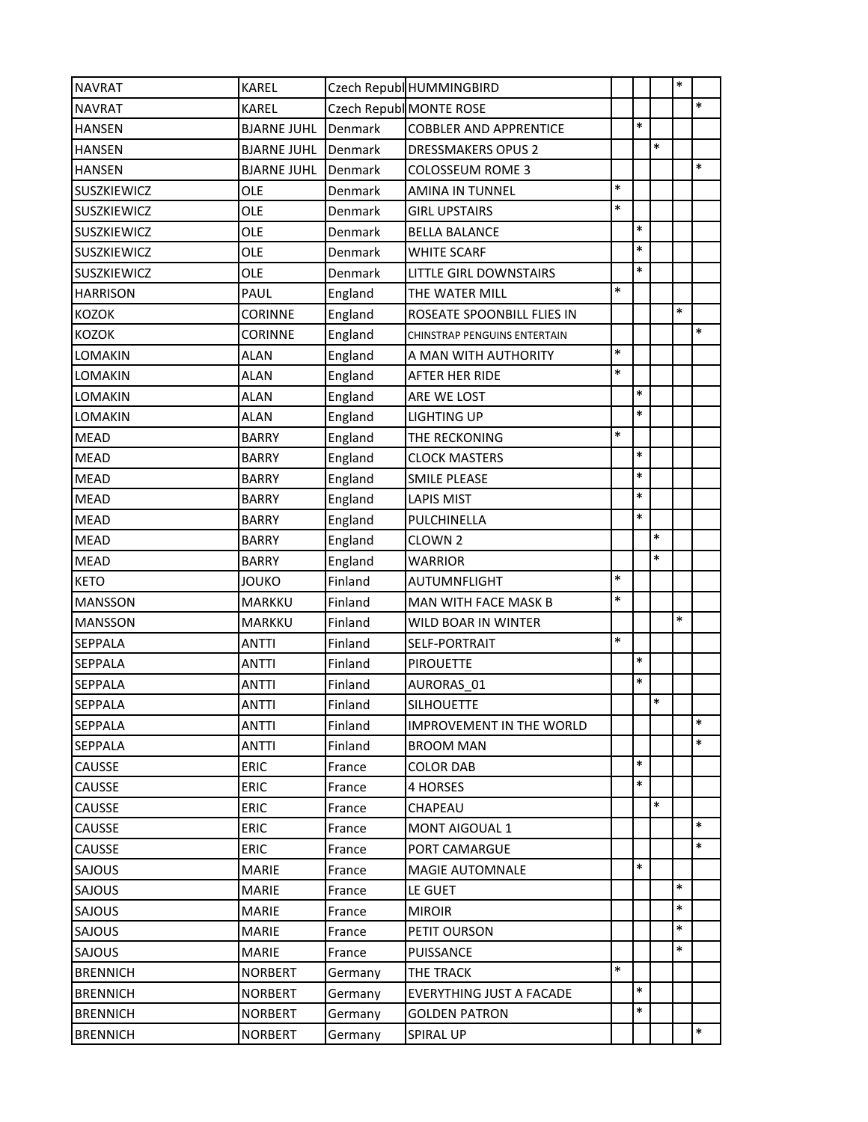| <b>NAVRAT</b>   | <b>KAREL</b>       |         | Czech Republ HUMMINGBIRD        |        |        |        | $\ast$ |        |
|-----------------|--------------------|---------|---------------------------------|--------|--------|--------|--------|--------|
| <b>NAVRAT</b>   | KAREL              |         | Czech Republ MONTE ROSE         |        |        |        |        | $\ast$ |
| <b>HANSEN</b>   | <b>BJARNE JUHL</b> | Denmark | <b>COBBLER AND APPRENTICE</b>   |        | $\ast$ |        |        |        |
| <b>HANSEN</b>   | <b>BJARNE JUHL</b> | Denmark | <b>DRESSMAKERS OPUS 2</b>       |        |        | $\ast$ |        |        |
| <b>HANSEN</b>   | <b>BJARNE JUHL</b> | Denmark | COLOSSEUM ROME 3                |        |        |        |        | $\ast$ |
| SUSZKIEWICZ     | OLE                | Denmark | AMINA IN TUNNEL                 | $\ast$ |        |        |        |        |
| SUSZKIEWICZ     | OLE                | Denmark | <b>GIRL UPSTAIRS</b>            | $\ast$ |        |        |        |        |
| SUSZKIEWICZ     | OLE                | Denmark | <b>BELLA BALANCE</b>            |        | $\ast$ |        |        |        |
| SUSZKIEWICZ     | OLE                | Denmark | <b>WHITE SCARF</b>              |        | $\ast$ |        |        |        |
| SUSZKIEWICZ     | OLE                | Denmark | LITTLE GIRL DOWNSTAIRS          |        | $\ast$ |        |        |        |
| <b>HARRISON</b> | PAUL               | England | THE WATER MILL                  | *      |        |        |        |        |
| <b>KOZOK</b>    | <b>CORINNE</b>     | England | ROSEATE SPOONBILL FLIES IN      |        |        |        | $\ast$ |        |
| <b>KOZOK</b>    | <b>CORINNE</b>     | England | CHINSTRAP PENGUINS ENTERTAIN    |        |        |        |        | $\ast$ |
| LOMAKIN         | <b>ALAN</b>        | England | A MAN WITH AUTHORITY            | $\ast$ |        |        |        |        |
| LOMAKIN         | <b>ALAN</b>        | England | AFTER HER RIDE                  | $\ast$ |        |        |        |        |
| <b>LOMAKIN</b>  | <b>ALAN</b>        | England | ARE WE LOST                     |        | $\ast$ |        |        |        |
| <b>LOMAKIN</b>  | <b>ALAN</b>        | England | <b>LIGHTING UP</b>              |        | $\ast$ |        |        |        |
| <b>MEAD</b>     | <b>BARRY</b>       | England | THE RECKONING                   | $\ast$ |        |        |        |        |
| <b>MEAD</b>     | <b>BARRY</b>       | England | <b>CLOCK MASTERS</b>            |        | $\ast$ |        |        |        |
| <b>MEAD</b>     | <b>BARRY</b>       | England | <b>SMILE PLEASE</b>             |        | $\ast$ |        |        |        |
| <b>MEAD</b>     | <b>BARRY</b>       | England | <b>LAPIS MIST</b>               |        | $\ast$ |        |        |        |
| <b>MEAD</b>     | <b>BARRY</b>       | England | PULCHINELLA                     |        | $\ast$ |        |        |        |
| <b>MEAD</b>     | <b>BARRY</b>       | England | CLOWN <sub>2</sub>              |        |        | $\ast$ |        |        |
| <b>MEAD</b>     | <b>BARRY</b>       | England | <b>WARRIOR</b>                  |        |        | $\ast$ |        |        |
| <b>KETO</b>     | <b>JOUKO</b>       | Finland | AUTUMNFLIGHT                    | $\ast$ |        |        |        |        |
| <b>MANSSON</b>  | MARKKU             | Finland | MAN WITH FACE MASK B            | $\ast$ |        |        |        |        |
| <b>MANSSON</b>  | MARKKU             | Finland | WILD BOAR IN WINTER             |        |        |        | $\ast$ |        |
| SEPPALA         | ANTTI              | Finland | SELF-PORTRAIT                   | $\ast$ |        |        |        |        |
| <b>SEPPALA</b>  | <b>ANTTI</b>       | Finland | <b>PIROUETTE</b>                |        | $\ast$ |        |        |        |
| SEPPALA         | <b>ANTTI</b>       | Finland | AURORAS_01                      |        | $\ast$ |        |        |        |
| <b>SEPPALA</b>  | <b>ANTTI</b>       | Finland | <b>SILHOUETTE</b>               |        |        | $\ast$ |        |        |
| <b>SEPPALA</b>  | <b>ANTTI</b>       | Finland | <b>IMPROVEMENT IN THE WORLD</b> |        |        |        |        | $\ast$ |
| <b>SEPPALA</b>  | ANTTI              | Finland | <b>BROOM MAN</b>                |        |        |        |        | $\ast$ |
| CAUSSE          | ERIC               | France  | <b>COLOR DAB</b>                |        | $\ast$ |        |        |        |
| CAUSSE          | ERIC               | France  | 4 HORSES                        |        | $\ast$ |        |        |        |
| <b>CAUSSE</b>   | ERIC               | France  | CHAPEAU                         |        |        | $\ast$ |        |        |
| CAUSSE          | ERIC               | France  | <b>MONT AIGOUAL 1</b>           |        |        |        |        | $\ast$ |
| CAUSSE          | ERIC               | France  | <b>PORT CAMARGUE</b>            |        |        |        |        | $\ast$ |
| SAJOUS          | <b>MARIE</b>       | France  | <b>MAGIE AUTOMNALE</b>          |        | $\ast$ |        |        |        |
| SAJOUS          | <b>MARIE</b>       | France  | LE GUET                         |        |        |        | $\ast$ |        |
| SAJOUS          | <b>MARIE</b>       | France  | <b>MIROIR</b>                   |        |        |        | $\ast$ |        |
| SAJOUS          | <b>MARIE</b>       | France  | PETIT OURSON                    |        |        |        | $\ast$ |        |
| <b>SAJOUS</b>   | <b>MARIE</b>       | France  | PUISSANCE                       |        |        |        | $\ast$ |        |
| <b>BRENNICH</b> | <b>NORBERT</b>     | Germany | <b>THE TRACK</b>                | $\ast$ |        |        |        |        |
| <b>BRENNICH</b> | <b>NORBERT</b>     | Germany | EVERYTHING JUST A FACADE        |        | $\ast$ |        |        |        |
| <b>BRENNICH</b> | <b>NORBERT</b>     | Germany | <b>GOLDEN PATRON</b>            |        | $\ast$ |        |        |        |
| <b>BRENNICH</b> | <b>NORBERT</b>     | Germany | <b>SPIRAL UP</b>                |        |        |        |        | $\ast$ |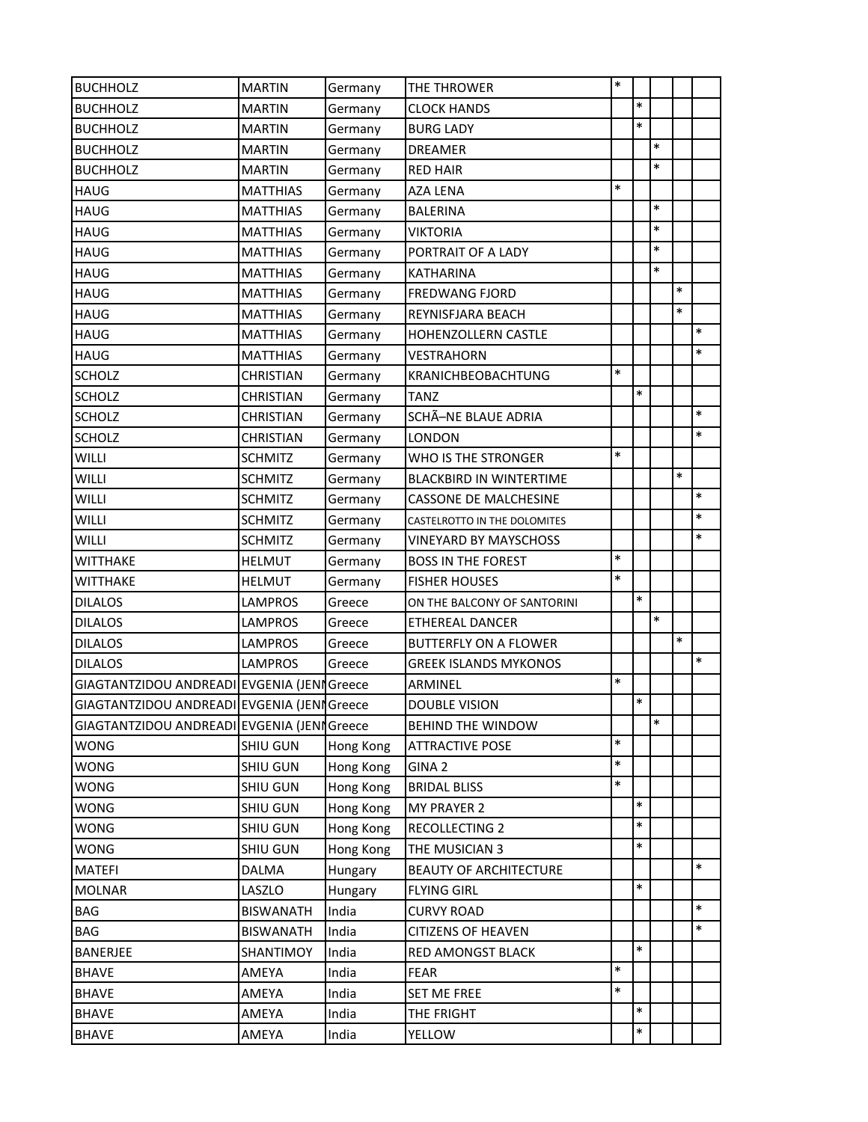| <b>BUCHHOLZ</b>                             | <b>MARTIN</b>    | Germany   | THE THROWER                    | $\ast$ |        |        |        |        |
|---------------------------------------------|------------------|-----------|--------------------------------|--------|--------|--------|--------|--------|
| <b>BUCHHOLZ</b>                             | <b>MARTIN</b>    | Germany   | <b>CLOCK HANDS</b>             |        | $\ast$ |        |        |        |
| <b>BUCHHOLZ</b>                             | <b>MARTIN</b>    | Germany   | <b>BURG LADY</b>               |        | $\ast$ |        |        |        |
| <b>BUCHHOLZ</b>                             | <b>MARTIN</b>    | Germany   | <b>DREAMER</b>                 |        |        | $\ast$ |        |        |
| <b>BUCHHOLZ</b>                             | <b>MARTIN</b>    | Germany   | <b>RED HAIR</b>                |        |        | $\ast$ |        |        |
| <b>HAUG</b>                                 | <b>MATTHIAS</b>  | Germany   | <b>AZA LENA</b>                | $\ast$ |        |        |        |        |
| <b>HAUG</b>                                 | <b>MATTHIAS</b>  | Germany   | <b>BALERINA</b>                |        |        | $\ast$ |        |        |
| <b>HAUG</b>                                 | <b>MATTHIAS</b>  | Germany   | <b>VIKTORIA</b>                |        |        | $\ast$ |        |        |
| <b>HAUG</b>                                 | <b>MATTHIAS</b>  | Germany   | PORTRAIT OF A LADY             |        |        | *      |        |        |
| <b>HAUG</b>                                 | <b>MATTHIAS</b>  | Germany   | <b>KATHARINA</b>               |        |        | $\ast$ |        |        |
| <b>HAUG</b>                                 | <b>MATTHIAS</b>  | Germany   | <b>FREDWANG FJORD</b>          |        |        |        | $\ast$ |        |
| <b>HAUG</b>                                 | <b>MATTHIAS</b>  | Germany   | REYNISFJARA BEACH              |        |        |        | $\ast$ |        |
| <b>HAUG</b>                                 | <b>MATTHIAS</b>  | Germany   | HOHENZOLLERN CASTLE            |        |        |        |        | $\ast$ |
| <b>HAUG</b>                                 | <b>MATTHIAS</b>  | Germany   | <b>VESTRAHORN</b>              |        |        |        |        | $\ast$ |
| <b>SCHOLZ</b>                               | <b>CHRISTIAN</b> | Germany   | <b>KRANICHBEOBACHTUNG</b>      | $\ast$ |        |        |        |        |
| <b>SCHOLZ</b>                               | <b>CHRISTIAN</b> | Germany   | <b>TANZ</b>                    |        | $\ast$ |        |        |        |
| <b>SCHOLZ</b>                               | CHRISTIAN        | Germany   | SCHÃ-NE BLAUE ADRIA            |        |        |        |        | $\ast$ |
| <b>SCHOLZ</b>                               | <b>CHRISTIAN</b> | Germany   | <b>LONDON</b>                  |        |        |        |        | $\ast$ |
| <b>WILLI</b>                                | <b>SCHMITZ</b>   | Germany   | WHO IS THE STRONGER            | $\ast$ |        |        |        |        |
| WILLI                                       | <b>SCHMITZ</b>   | Germany   | <b>BLACKBIRD IN WINTERTIME</b> |        |        |        | $\ast$ |        |
| WILLI                                       | <b>SCHMITZ</b>   | Germany   | <b>CASSONE DE MALCHESINE</b>   |        |        |        |        | $\ast$ |
| WILLI                                       | <b>SCHMITZ</b>   | Germany   | CASTELROTTO IN THE DOLOMITES   |        |        |        |        | $\ast$ |
| <b>WILLI</b>                                | <b>SCHMITZ</b>   | Germany   | <b>VINEYARD BY MAYSCHOSS</b>   |        |        |        |        | $\ast$ |
| <b>WITTHAKE</b>                             | <b>HELMUT</b>    | Germany   | <b>BOSS IN THE FOREST</b>      | $\ast$ |        |        |        |        |
| <b>WITTHAKE</b>                             | <b>HELMUT</b>    | Germany   | <b>FISHER HOUSES</b>           | $\ast$ |        |        |        |        |
| <b>DILALOS</b>                              | LAMPROS          | Greece    | ON THE BALCONY OF SANTORINI    |        | $\ast$ |        |        |        |
| <b>DILALOS</b>                              | LAMPROS          | Greece    | <b>ETHEREAL DANCER</b>         |        |        | $\ast$ |        |        |
| <b>DILALOS</b>                              | LAMPROS          | Greece    | <b>BUTTERFLY ON A FLOWER</b>   |        |        |        | $\ast$ |        |
| <b>DILALOS</b>                              | <b>LAMPROS</b>   | Greece    | <b>GREEK ISLANDS MYKONOS</b>   |        |        |        |        | $\ast$ |
| GIAGTANTZIDOU ANDREADI EVGENIA (JENI Greece |                  |           | ARMINEL                        | $\ast$ |        |        |        |        |
| GIAGTANTZIDOU ANDREADI EVGENIA (JENNGreece  |                  |           | <b>DOUBLE VISION</b>           |        | $\ast$ |        |        |        |
| GIAGTANTZIDOU ANDREADI EVGENIA (JENI Greece |                  |           | <b>BEHIND THE WINDOW</b>       |        |        | $\ast$ |        |        |
| <b>WONG</b>                                 | SHIU GUN         | Hong Kong | <b>ATTRACTIVE POSE</b>         | $\ast$ |        |        |        |        |
| <b>WONG</b>                                 | <b>SHIU GUN</b>  | Hong Kong | GINA <sub>2</sub>              | $\ast$ |        |        |        |        |
| <b>WONG</b>                                 | SHIU GUN         | Hong Kong | <b>BRIDAL BLISS</b>            | *      |        |        |        |        |
| <b>WONG</b>                                 | SHIU GUN         | Hong Kong | MY PRAYER 2                    |        | $\ast$ |        |        |        |
| <b>WONG</b>                                 | SHIU GUN         | Hong Kong | RECOLLECTING 2                 |        | $\ast$ |        |        |        |
| <b>WONG</b>                                 | <b>SHIU GUN</b>  | Hong Kong | THE MUSICIAN 3                 |        | $\ast$ |        |        |        |
| <b>MATEFI</b>                               | DALMA            | Hungary   | <b>BEAUTY OF ARCHITECTURE</b>  |        |        |        |        | $\ast$ |
| <b>MOLNAR</b>                               | LASZLO           | Hungary   | <b>FLYING GIRL</b>             |        | $\ast$ |        |        |        |
| BAG                                         | <b>BISWANATH</b> | India     | <b>CURVY ROAD</b>              |        |        |        |        | $\ast$ |
| BAG                                         | <b>BISWANATH</b> | India     | <b>CITIZENS OF HEAVEN</b>      |        |        |        |        | $\ast$ |
| <b>BANERJEE</b>                             | SHANTIMOY        | India     | RED AMONGST BLACK              |        | $\ast$ |        |        |        |
| <b>BHAVE</b>                                | AMEYA            | India     | <b>FEAR</b>                    | *      |        |        |        |        |
| <b>BHAVE</b>                                | AMEYA            | India     | <b>SET ME FREE</b>             | $\ast$ |        |        |        |        |
| <b>BHAVE</b>                                | AMEYA            | India     | THE FRIGHT                     |        | $\ast$ |        |        |        |
| <b>BHAVE</b>                                | AMEYA            | India     | YELLOW                         |        | $\ast$ |        |        |        |
|                                             |                  |           |                                |        |        |        |        |        |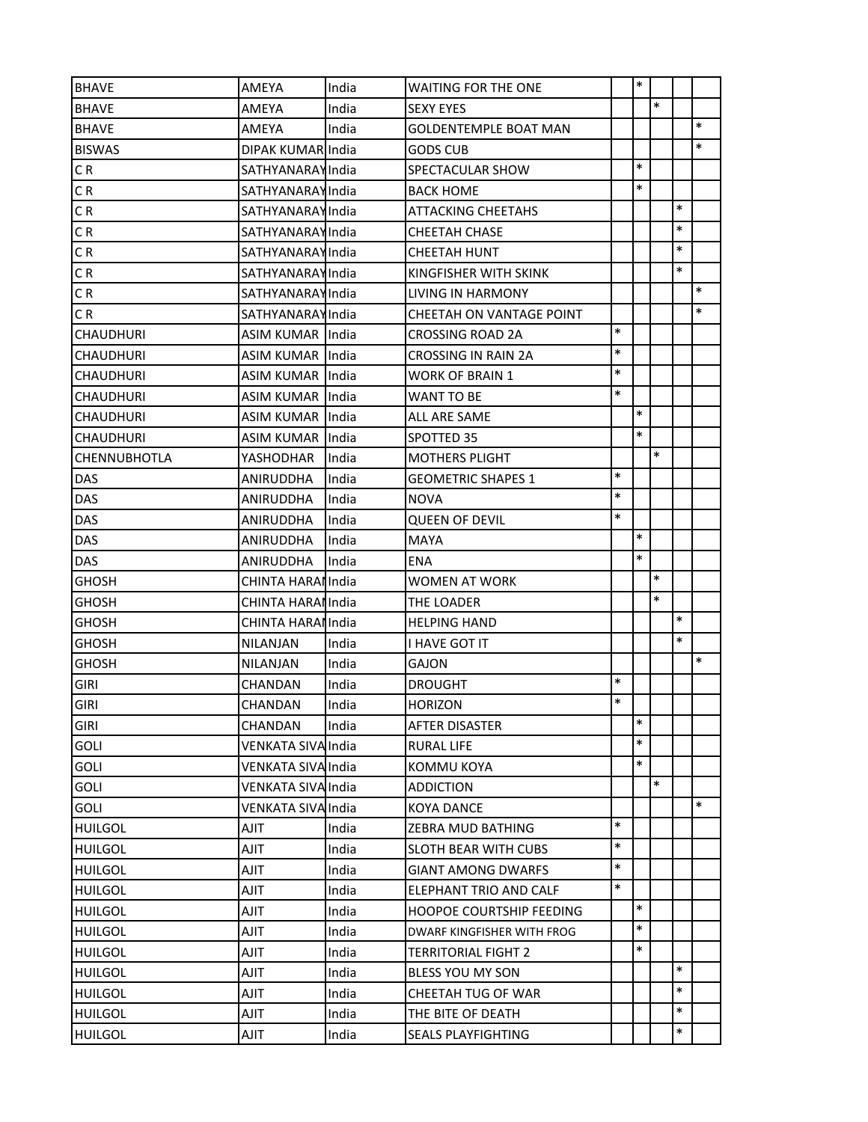| <b>BHAVE</b>        | AMEYA                     | India | <b>WAITING FOR THE ONE</b>      |        | $\ast$ |        |        |        |
|---------------------|---------------------------|-------|---------------------------------|--------|--------|--------|--------|--------|
| <b>BHAVE</b>        | AMEYA                     | India | <b>SEXY EYES</b>                |        |        | $\ast$ |        |        |
| <b>BHAVE</b>        | AMEYA                     | India | <b>GOLDENTEMPLE BOAT MAN</b>    |        |        |        |        | $\ast$ |
| <b>BISWAS</b>       | DIPAK KUMAR India         |       | <b>GODS CUB</b>                 |        |        |        |        | $\ast$ |
| CR                  | <b>SATHYANARAYIndia</b>   |       | SPECTACULAR SHOW                |        | $\ast$ |        |        |        |
| C R                 | <b>SATHYANARAYIndia</b>   |       | <b>BACK HOME</b>                |        | $\ast$ |        |        |        |
| CR                  | <b>SATHYANARAYIndia</b>   |       | <b>ATTACKING CHEETAHS</b>       |        |        |        | $\ast$ |        |
| C R                 | <b>SATHYANARAYIndia</b>   |       | <b>CHEETAH CHASE</b>            |        |        |        | $\ast$ |        |
| CR                  | <b>SATHYANARAYIndia</b>   |       | CHEETAH HUNT                    |        |        |        | $\ast$ |        |
| CR                  | <b>SATHYANARAYIndia</b>   |       | KINGFISHER WITH SKINK           |        |        |        | $\ast$ |        |
| CR                  | <b>SATHYANARAYIndia</b>   |       | LIVING IN HARMONY               |        |        |        |        | $\ast$ |
| C R                 | <b>SATHYANARAYIndia</b>   |       | CHEETAH ON VANTAGE POINT        |        |        |        |        | $\ast$ |
| <b>CHAUDHURI</b>    | ASIM KUMAR IIndia         |       | <b>CROSSING ROAD 2A</b>         | $\ast$ |        |        |        |        |
| <b>CHAUDHURI</b>    | ASIM KUMAR India          |       | <b>CROSSING IN RAIN 2A</b>      | $\ast$ |        |        |        |        |
| <b>CHAUDHURI</b>    | ASIM KUMAR IIndia         |       | WORK OF BRAIN 1                 | $\ast$ |        |        |        |        |
| <b>CHAUDHURI</b>    | ASIM KUMAR IIndia         |       | <b>WANT TO BE</b>               | $\ast$ |        |        |        |        |
| <b>CHAUDHURI</b>    | ASIM KUMAR IIndia         |       | ALL ARE SAME                    |        | $\ast$ |        |        |        |
| <b>CHAUDHURI</b>    | ASIM KUMAR India          |       | SPOTTED 35                      |        | $\ast$ |        |        |        |
| <b>CHENNUBHOTLA</b> | YASHODHAR                 | India | <b>MOTHERS PLIGHT</b>           |        |        | $\ast$ |        |        |
| <b>DAS</b>          | ANIRUDDHA                 | India | <b>GEOMETRIC SHAPES 1</b>       | $\ast$ |        |        |        |        |
| <b>DAS</b>          | ANIRUDDHA                 | India | <b>NOVA</b>                     | $\ast$ |        |        |        |        |
| DAS                 | ANIRUDDHA                 | India | <b>QUEEN OF DEVIL</b>           | $\ast$ |        |        |        |        |
| <b>DAS</b>          | ANIRUDDHA                 | India | <b>MAYA</b>                     |        | $\ast$ |        |        |        |
| DAS                 | ANIRUDDHA                 | India | ENA                             |        | $\ast$ |        |        |        |
| <b>GHOSH</b>        | CHINTA HARAI India        |       | <b>WOMEN AT WORK</b>            |        |        | $\ast$ |        |        |
| <b>GHOSH</b>        | CHINTA HARAI India        |       | THE LOADER                      |        |        | $\ast$ |        |        |
| <b>GHOSH</b>        | CHINTA HARAI India        |       | <b>HELPING HAND</b>             |        |        |        | $\ast$ |        |
| <b>GHOSH</b>        | NILANJAN                  | India | I HAVE GOT IT                   |        |        |        | $\ast$ |        |
| <b>GHOSH</b>        | NILANJAN                  | India | GAJON                           |        |        |        |        | $\ast$ |
| <b>GIRI</b>         | CHANDAN                   | India | <b>DROUGHT</b>                  | $\ast$ |        |        |        |        |
| <b>GIRI</b>         | CHANDAN                   | India | <b>HORIZON</b>                  | $\ast$ |        |        |        |        |
| <b>GIRI</b>         | CHANDAN                   | India | <b>AFTER DISASTER</b>           |        | $\ast$ |        |        |        |
| <b>GOLI</b>         | <b>VENKATA SIVA India</b> |       | RURAL LIFE                      |        | $\ast$ |        |        |        |
| <b>GOLI</b>         | VENKATA SIVA India        |       | <b>KOMMU KOYA</b>               |        | $\ast$ |        |        |        |
| <b>GOLI</b>         | VENKATA SIVA India        |       | <b>ADDICTION</b>                |        |        | $\ast$ |        |        |
| <b>GOLI</b>         | VENKATA SIVA India        |       | <b>KOYA DANCE</b>               |        |        |        |        | $\ast$ |
| <b>HUILGOL</b>      | AJIT                      | India | ZEBRA MUD BATHING               | $\ast$ |        |        |        |        |
| <b>HUILGOL</b>      | AJIT                      | India | <b>SLOTH BEAR WITH CUBS</b>     | $\ast$ |        |        |        |        |
| <b>HUILGOL</b>      | AJIT                      | India | <b>GIANT AMONG DWARFS</b>       | $\ast$ |        |        |        |        |
| <b>HUILGOL</b>      | AJIT                      | India | ELEPHANT TRIO AND CALF          | $\ast$ |        |        |        |        |
| <b>HUILGOL</b>      | TILA                      | India | <b>HOOPOE COURTSHIP FEEDING</b> |        | $\ast$ |        |        |        |
| <b>HUILGOL</b>      | AJIT                      | India | DWARF KINGFISHER WITH FROG      |        | $\ast$ |        |        |        |
| <b>HUILGOL</b>      | TILA                      | India | <b>TERRITORIAL FIGHT 2</b>      |        | $\ast$ |        |        |        |
| <b>HUILGOL</b>      | AJIT                      | India | <b>BLESS YOU MY SON</b>         |        |        |        | $\ast$ |        |
| <b>HUILGOL</b>      | AJIT                      | India | CHEETAH TUG OF WAR              |        |        |        | $\ast$ |        |
| <b>HUILGOL</b>      | TILA                      | India | THE BITE OF DEATH               |        |        |        | $\ast$ |        |
| <b>HUILGOL</b>      | <b>AJIT</b>               | India | <b>SEALS PLAYFIGHTING</b>       |        |        |        | $\ast$ |        |
|                     |                           |       |                                 |        |        |        |        |        |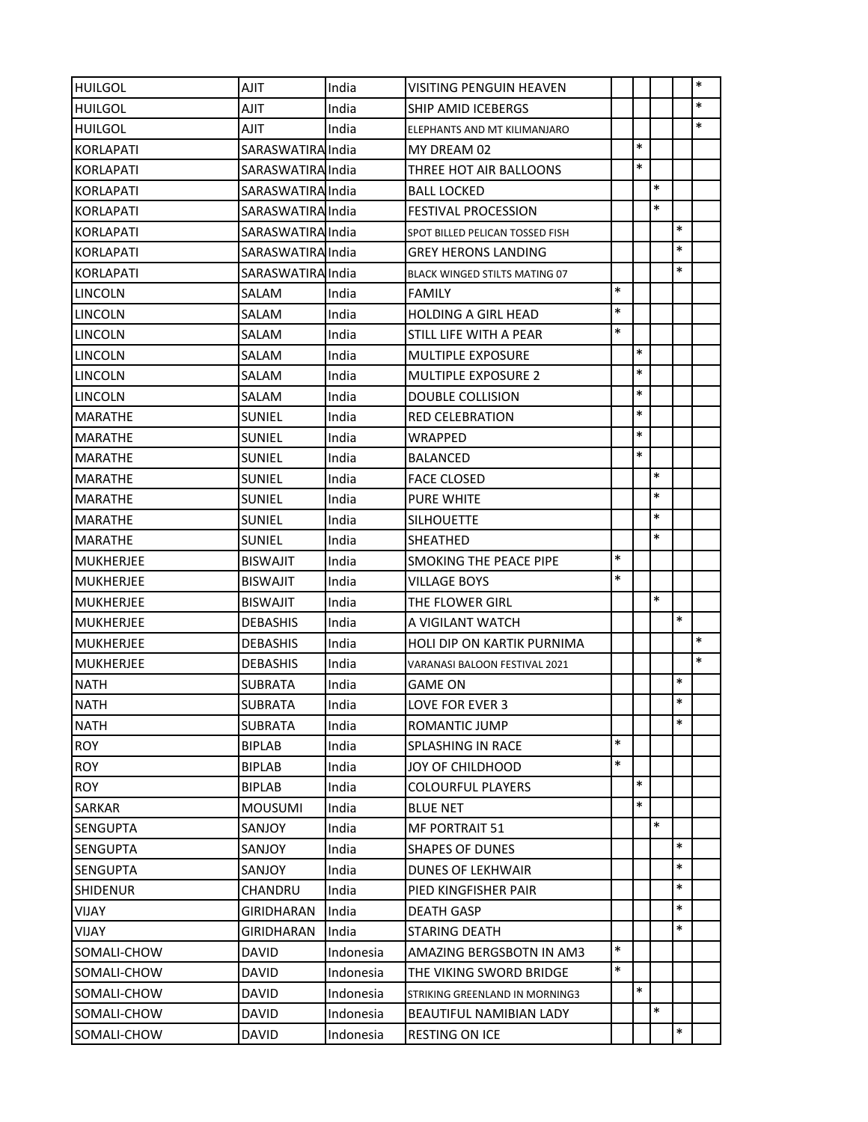| <b>HUILGOL</b>   | AJIT              | India     | <b>VISITING PENGUIN HEAVEN</b>       |        |        |        |        | $\ast$ |
|------------------|-------------------|-----------|--------------------------------------|--------|--------|--------|--------|--------|
| <b>HUILGOL</b>   | AJIT              | India     | <b>SHIP AMID ICEBERGS</b>            |        |        |        |        | $\ast$ |
| <b>HUILGOL</b>   | TILA              | India     | ELEPHANTS AND MT KILIMANJARO         |        |        |        |        | $\ast$ |
| <b>KORLAPATI</b> | SARASWATIRA India |           | MY DREAM 02                          |        | $\ast$ |        |        |        |
| <b>KORLAPATI</b> | SARASWATIRA India |           | THREE HOT AIR BALLOONS               |        | $\ast$ |        |        |        |
| <b>KORLAPATI</b> | SARASWATIRA India |           | <b>BALL LOCKED</b>                   |        |        | $\ast$ |        |        |
| KORLAPATI        | SARASWATIRA India |           | <b>FESTIVAL PROCESSION</b>           |        |        | $\ast$ |        |        |
| <b>KORLAPATI</b> | SARASWATIRA India |           | SPOT BILLED PELICAN TOSSED FISH      |        |        |        | $\ast$ |        |
| <b>KORLAPATI</b> | SARASWATIRA India |           | GREY HERONS LANDING                  |        |        |        | $\ast$ |        |
| KORLAPATI        | SARASWATIRA India |           | <b>BLACK WINGED STILTS MATING 07</b> |        |        |        | $\ast$ |        |
| <b>LINCOLN</b>   | SALAM             | India     | <b>FAMILY</b>                        | $\ast$ |        |        |        |        |
| <b>LINCOLN</b>   | SALAM             | India     | <b>HOLDING A GIRL HEAD</b>           | $\ast$ |        |        |        |        |
| <b>LINCOLN</b>   | SALAM             | India     | STILL LIFE WITH A PEAR               | $\ast$ |        |        |        |        |
| LINCOLN          | SALAM             | India     | <b>MULTIPLE EXPOSURE</b>             |        | $\ast$ |        |        |        |
| ILINCOLN         | SALAM             | India     | <b>MULTIPLE EXPOSURE 2</b>           |        | $\ast$ |        |        |        |
| LINCOLN          | SALAM             | India     | <b>DOUBLE COLLISION</b>              |        | $\ast$ |        |        |        |
| MARATHE          | <b>SUNIEL</b>     | India     | <b>RED CELEBRATION</b>               |        | $\ast$ |        |        |        |
| <b>MARATHE</b>   | SUNIEL            | India     | WRAPPED                              |        | $\ast$ |        |        |        |
| MARATHE          | <b>SUNIEL</b>     | India     | <b>BALANCED</b>                      |        | $\ast$ |        |        |        |
| MARATHE          | <b>SUNIEL</b>     | India     | <b>FACE CLOSED</b>                   |        |        | $\ast$ |        |        |
| MARATHE          | <b>SUNIEL</b>     | India     | <b>PURE WHITE</b>                    |        |        | $\ast$ |        |        |
| <b>MARATHE</b>   | SUNIEL            | India     | <b>SILHOUETTE</b>                    |        |        | $\ast$ |        |        |
| <b>MARATHE</b>   | <b>SUNIEL</b>     | India     | <b>SHEATHED</b>                      |        |        | $\ast$ |        |        |
| MUKHERJEE        | BISWAJIT          | India     | <b>SMOKING THE PEACE PIPE</b>        | $\ast$ |        |        |        |        |
| <b>MUKHERJEE</b> | <b>BISWAJIT</b>   | India     | <b>VILLAGE BOYS</b>                  | $\ast$ |        |        |        |        |
| <b>MUKHERJEE</b> | <b>BISWAJIT</b>   | India     | THE FLOWER GIRL                      |        |        | $\ast$ |        |        |
| <b>MUKHERJEE</b> | <b>DEBASHIS</b>   | India     | A VIGILANT WATCH                     |        |        |        | $\ast$ |        |
| <b>MUKHERJEE</b> | <b>DEBASHIS</b>   | India     | HOLI DIP ON KARTIK PURNIMA           |        |        |        |        | $\ast$ |
| MUKHERJEE        | DEBASHIS          | India     | VARANASI BALOON FESTIVAL 2021        |        |        |        |        | $\ast$ |
| <b>NATH</b>      | <b>SUBRATA</b>    | India     | <b>GAME ON</b>                       |        |        |        | $\ast$ |        |
| <b>NATH</b>      | <b>SUBRATA</b>    | India     | LOVE FOR EVER 3                      |        |        |        | $\ast$ |        |
| <b>NATH</b>      | <b>SUBRATA</b>    | India     | ROMANTIC JUMP                        |        |        |        | $\ast$ |        |
| <b>ROY</b>       | <b>BIPLAB</b>     | India     | SPLASHING IN RACE                    | $\ast$ |        |        |        |        |
| <b>ROY</b>       | <b>BIPLAB</b>     | India     | JOY OF CHILDHOOD                     | $\ast$ |        |        |        |        |
| <b>ROY</b>       | <b>BIPLAB</b>     | India     | <b>COLOURFUL PLAYERS</b>             |        | $\ast$ |        |        |        |
| SARKAR           | <b>MOUSUMI</b>    | India     | <b>BLUE NET</b>                      |        | $\ast$ |        |        |        |
| <b>SENGUPTA</b>  | SANJOY            | India     | MF PORTRAIT 51                       |        |        | $\ast$ |        |        |
| <b>SENGUPTA</b>  | SANJOY            | India     | <b>SHAPES OF DUNES</b>               |        |        |        | $\ast$ |        |
| <b>SENGUPTA</b>  | SANJOY            | India     | <b>DUNES OF LEKHWAIR</b>             |        |        |        | $\ast$ |        |
| <b>SHIDENUR</b>  | CHANDRU           | India     | PIED KINGFISHER PAIR                 |        |        |        | $\ast$ |        |
| <b>VIJAY</b>     | <b>GIRIDHARAN</b> | India     | <b>DEATH GASP</b>                    |        |        |        | $\ast$ |        |
| VIJAY            | GIRIDHARAN        | India     | <b>STARING DEATH</b>                 |        |        |        | $\ast$ |        |
| SOMALI-CHOW      | <b>DAVID</b>      | Indonesia | AMAZING BERGSBOTN IN AM3             | $\ast$ |        |        |        |        |
| SOMALI-CHOW      | <b>DAVID</b>      | Indonesia | THE VIKING SWORD BRIDGE              | $\ast$ |        |        |        |        |
| SOMALI-CHOW      | <b>DAVID</b>      | Indonesia | STRIKING GREENLAND IN MORNING3       |        | $\ast$ |        |        |        |
| SOMALI-CHOW      | DAVID             | Indonesia | BEAUTIFUL NAMIBIAN LADY              |        |        | $\ast$ |        |        |
| SOMALI-CHOW      | <b>DAVID</b>      | Indonesia | RESTING ON ICE                       |        |        |        | $\ast$ |        |
|                  |                   |           |                                      |        |        |        |        |        |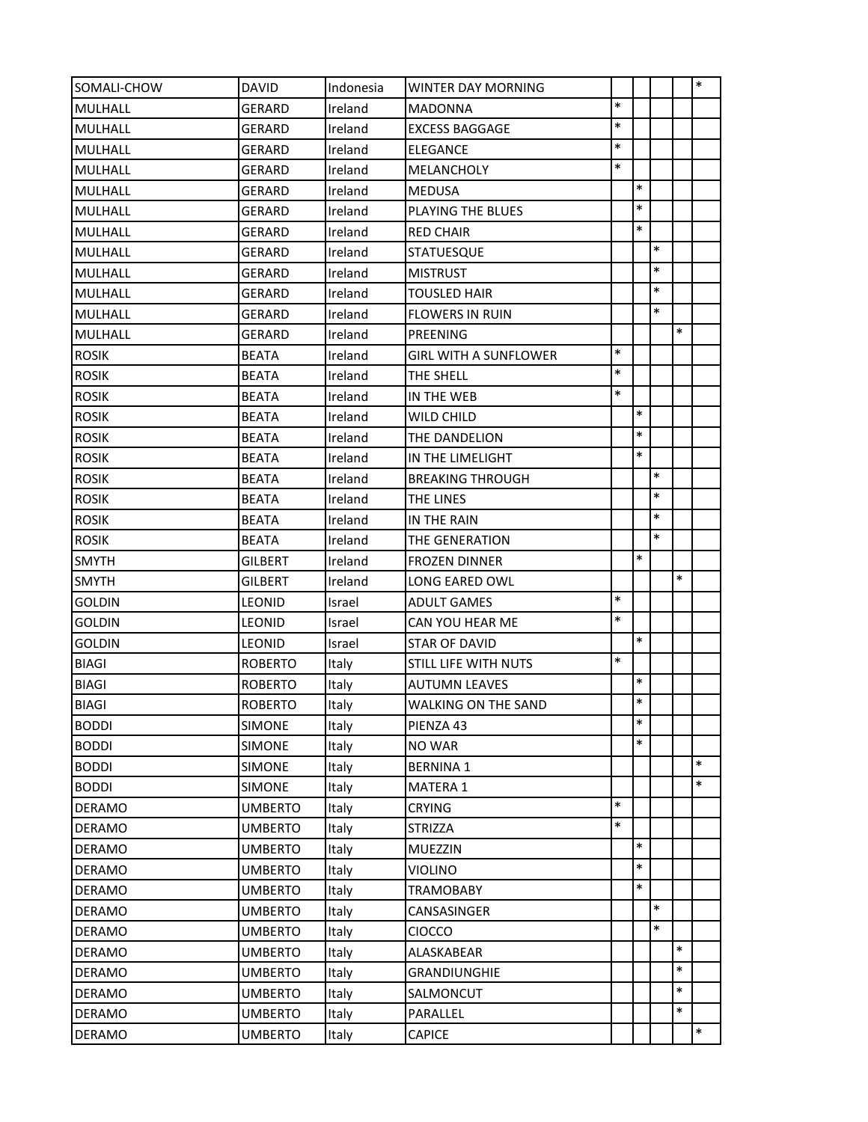| SOMALI-CHOW   | <b>DAVID</b>   | Indonesia | <b>WINTER DAY MORNING</b>  |        |        |        |        | $\ast$ |
|---------------|----------------|-----------|----------------------------|--------|--------|--------|--------|--------|
| MULHALL       | <b>GERARD</b>  | Ireland   | MADONNA                    | $\ast$ |        |        |        |        |
| MULHALL       | <b>GERARD</b>  | Ireland   | <b>EXCESS BAGGAGE</b>      | $\ast$ |        |        |        |        |
| MULHALL       | <b>GERARD</b>  | Ireland   | <b>ELEGANCE</b>            | $\ast$ |        |        |        |        |
| MULHALL       | GERARD         | Ireland   | MELANCHOLY                 | $\ast$ |        |        |        |        |
| MULHALL       | <b>GERARD</b>  | Ireland   | <b>MEDUSA</b>              |        | $\ast$ |        |        |        |
| MULHALL       | GERARD         | Ireland   | PLAYING THE BLUES          |        | $\ast$ |        |        |        |
| MULHALL       | <b>GERARD</b>  | Ireland   | <b>RED CHAIR</b>           |        | $\ast$ |        |        |        |
| MULHALL       | <b>GERARD</b>  | Ireland   | <b>STATUESQUE</b>          |        |        | $\ast$ |        |        |
| MULHALL       | <b>GERARD</b>  | Ireland   | <b>MISTRUST</b>            |        |        | $\ast$ |        |        |
| MULHALL       | <b>GERARD</b>  | Ireland   | <b>TOUSLED HAIR</b>        |        |        | $\ast$ |        |        |
| MULHALL       | GERARD         | Ireland   | <b>FLOWERS IN RUIN</b>     |        |        | $\ast$ |        |        |
| MULHALL       | <b>GERARD</b>  | Ireland   | PREENING                   |        |        |        | $\ast$ |        |
| <b>ROSIK</b>  | <b>BEATA</b>   | Ireland   | GIRL WITH A SUNFLOWER      | $\ast$ |        |        |        |        |
| <b>ROSIK</b>  | <b>BEATA</b>   | Ireland   | THE SHELL                  | $\ast$ |        |        |        |        |
| <b>ROSIK</b>  | <b>BEATA</b>   | Ireland   | IN THE WEB                 | $\ast$ |        |        |        |        |
| <b>ROSIK</b>  | <b>BEATA</b>   | Ireland   | WILD CHILD                 |        | $\ast$ |        |        |        |
| <b>ROSIK</b>  | <b>BEATA</b>   | Ireland   | THE DANDELION              |        | $\ast$ |        |        |        |
| <b>ROSIK</b>  | <b>BEATA</b>   | Ireland   | IN THE LIMELIGHT           |        | $\ast$ |        |        |        |
| <b>ROSIK</b>  | <b>BEATA</b>   | Ireland   | <b>BREAKING THROUGH</b>    |        |        | $\ast$ |        |        |
| <b>ROSIK</b>  | <b>BEATA</b>   | Ireland   | THE LINES                  |        |        | *      |        |        |
| <b>ROSIK</b>  | <b>BEATA</b>   | Ireland   | IN THE RAIN                |        |        | $\ast$ |        |        |
| <b>ROSIK</b>  | <b>BEATA</b>   | Ireland   | THE GENERATION             |        |        | *      |        |        |
| <b>SMYTH</b>  | <b>GILBERT</b> | Ireland   | <b>FROZEN DINNER</b>       |        | $\ast$ |        |        |        |
| <b>SMYTH</b>  | <b>GILBERT</b> | Ireland   | LONG EARED OWL             |        |        |        | $\ast$ |        |
| <b>GOLDIN</b> | <b>LEONID</b>  | Israel    | <b>ADULT GAMES</b>         | $\ast$ |        |        |        |        |
| <b>GOLDIN</b> | <b>LEONID</b>  | Israel    | CAN YOU HEAR ME            | $\ast$ |        |        |        |        |
| <b>GOLDIN</b> | LEONID         | Israel    | <b>STAR OF DAVID</b>       |        | $\ast$ |        |        |        |
| <b>BIAGI</b>  | <b>ROBERTO</b> | Italy     | STILL LIFE WITH NUTS       | $\ast$ |        |        |        |        |
| <b>BIAGI</b>  | <b>ROBERTO</b> | Italy     | <b>AUTUMN LEAVES</b>       |        | $\ast$ |        |        |        |
| <b>BIAGI</b>  | <b>ROBERTO</b> | Italy     | <b>WALKING ON THE SAND</b> |        | $\ast$ |        |        |        |
| <b>BODDI</b>  | <b>SIMONE</b>  | Italy     | PIENZA 43                  |        | $\ast$ |        |        |        |
| <b>BODDI</b>  | <b>SIMONE</b>  | Italy     | NO WAR                     |        | $\ast$ |        |        |        |
| <b>BODDI</b>  | <b>SIMONE</b>  | Italy     | <b>BERNINA 1</b>           |        |        |        |        | $\ast$ |
| <b>BODDI</b>  | <b>SIMONE</b>  | Italy     | MATERA 1                   |        |        |        |        | $\ast$ |
| <b>DERAMO</b> | <b>UMBERTO</b> | Italy     | <b>CRYING</b>              | $\ast$ |        |        |        |        |
| DERAMO        | <b>UMBERTO</b> | Italy     | <b>STRIZZA</b>             | $\ast$ |        |        |        |        |
| <b>DERAMO</b> | <b>UMBERTO</b> | Italy     | <b>MUEZZIN</b>             |        | $\ast$ |        |        |        |
| <b>DERAMO</b> | <b>UMBERTO</b> | Italy     | <b>VIOLINO</b>             |        | $\ast$ |        |        |        |
| <b>DERAMO</b> | <b>UMBERTO</b> | Italy     | <b>TRAMOBABY</b>           |        | $\ast$ |        |        |        |
| DERAMO        | <b>UMBERTO</b> | Italy     | CANSASINGER                |        |        | $\ast$ |        |        |
| DERAMO        | <b>UMBERTO</b> | Italy     | CIOCCO                     |        |        | $\ast$ |        |        |
| DERAMO        | <b>UMBERTO</b> | Italy     | ALASKABEAR                 |        |        |        | $\ast$ |        |
| <b>DERAMO</b> | <b>UMBERTO</b> | Italy     | GRANDIUNGHIE               |        |        |        | $\ast$ |        |
| <b>DERAMO</b> | <b>UMBERTO</b> | Italy     | SALMONCUT                  |        |        |        | $\ast$ |        |
| DERAMO        | <b>UMBERTO</b> | Italy     | PARALLEL                   |        |        |        | $\ast$ |        |
| DERAMO        | <b>UMBERTO</b> | Italy     | CAPICE                     |        |        |        |        | $\ast$ |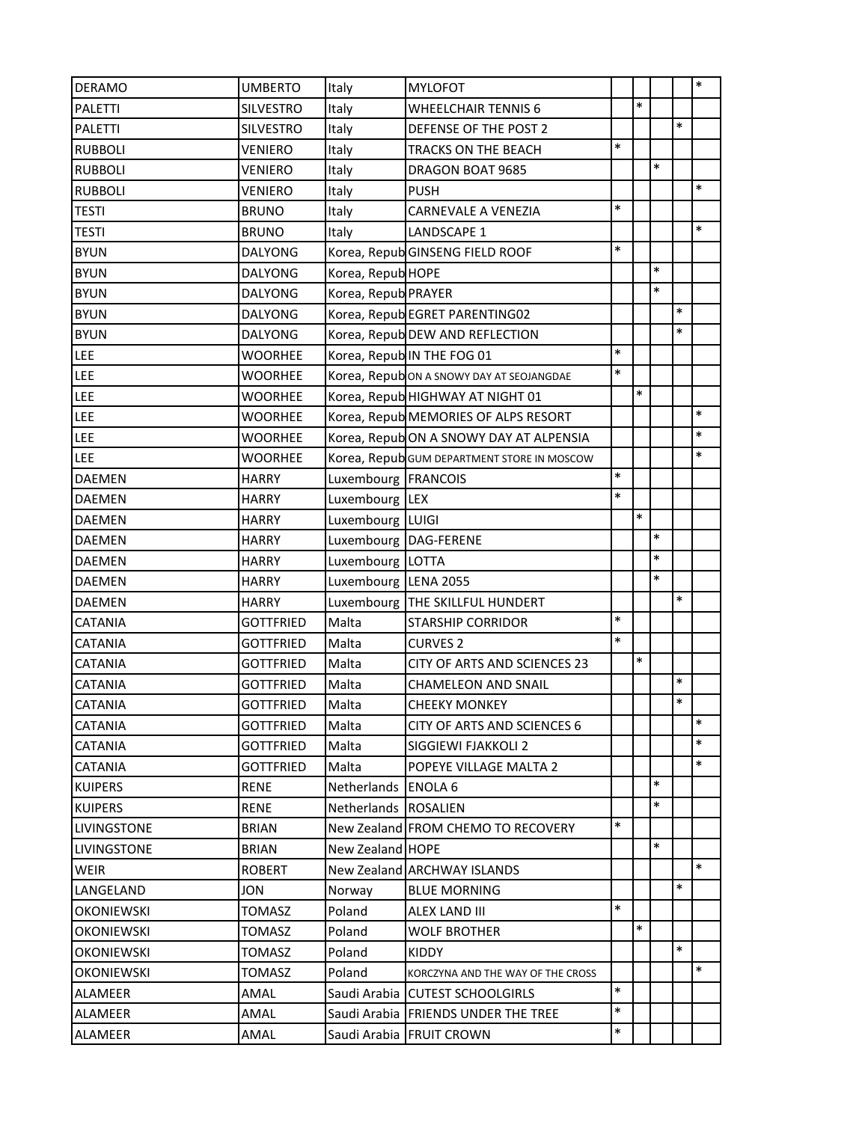| <b>DERAMO</b>      | <b>UMBERTO</b>   | Italy                | <b>MYLOFOT</b>                              |        |        |        |        | $\ast$ |
|--------------------|------------------|----------------------|---------------------------------------------|--------|--------|--------|--------|--------|
| <b>PALETTI</b>     | <b>SILVESTRO</b> | Italy                | WHEELCHAIR TENNIS 6                         |        | $\ast$ |        |        |        |
| <b>PALETTI</b>     | <b>SILVESTRO</b> | Italy                | DEFENSE OF THE POST 2                       |        |        |        | $\ast$ |        |
| <b>RUBBOLI</b>     | <b>VENIERO</b>   | Italy                | TRACKS ON THE BEACH                         | $\ast$ |        |        |        |        |
| <b>RUBBOLI</b>     | VENIERO          | Italy                | DRAGON BOAT 9685                            |        |        | $\ast$ |        |        |
| <b>RUBBOLI</b>     | VENIERO          | Italy                | <b>PUSH</b>                                 |        |        |        |        | $\ast$ |
| <b>TESTI</b>       | <b>BRUNO</b>     | Italy                | CARNEVALE A VENEZIA                         | $\ast$ |        |        |        |        |
| <b>TESTI</b>       | <b>BRUNO</b>     | Italy                | LANDSCAPE 1                                 |        |        |        |        | $\ast$ |
| <b>BYUN</b>        | <b>DALYONG</b>   |                      | Korea, Repub GINSENG FIELD ROOF             | $\ast$ |        |        |        |        |
| <b>BYUN</b>        | <b>DALYONG</b>   | Korea, Repub HOPE    |                                             |        |        | $\ast$ |        |        |
| <b>BYUN</b>        | <b>DALYONG</b>   | Korea, Repub PRAYER  |                                             |        |        | $\ast$ |        |        |
| <b>BYUN</b>        | <b>DALYONG</b>   |                      | Korea, Repub EGRET PARENTING02              |        |        |        | $\ast$ |        |
| <b>BYUN</b>        | <b>DALYONG</b>   |                      | Korea, Repub DEW AND REFLECTION             |        |        |        | $\ast$ |        |
| LEE                | <b>WOORHEE</b>   |                      | Korea, RepublIN THE FOG 01                  | $\ast$ |        |        |        |        |
| LEE                | <b>WOORHEE</b>   |                      | Korea, Repubon A SNOWY DAY AT SEOJANGDAE    | $\ast$ |        |        |        |        |
| LEE                | <b>WOORHEE</b>   |                      | Korea, Repub HIGHWAY AT NIGHT 01            |        | $\ast$ |        |        |        |
| LEE                | WOORHEE          |                      | Korea, Repub MEMORIES OF ALPS RESORT        |        |        |        |        | $\ast$ |
| LEE                | <b>WOORHEE</b>   |                      | Korea, RepubON A SNOWY DAY AT ALPENSIA      |        |        |        |        | $\ast$ |
| LEE                | WOORHEE          |                      | Korea, Repub GUM DEPARTMENT STORE IN MOSCOW |        |        |        |        | $\ast$ |
| <b>DAEMEN</b>      | <b>HARRY</b>     | Luxembourg FRANCOIS  |                                             | $\ast$ |        |        |        |        |
| <b>DAEMEN</b>      | <b>HARRY</b>     | Luxembourg LEX       |                                             | $\ast$ |        |        |        |        |
| DAEMEN             | <b>HARRY</b>     | Luxembourg LUIGI     |                                             |        | $\ast$ |        |        |        |
| <b>DAEMEN</b>      | <b>HARRY</b>     |                      | Luxembourg   DAG-FERENE                     |        |        | $\ast$ |        |        |
| <b>DAEMEN</b>      | <b>HARRY</b>     | Luxembourg   LOTTA   |                                             |        |        | $\ast$ |        |        |
| <b>DAEMEN</b>      | <b>HARRY</b>     | Luxembourg LENA 2055 |                                             |        |        | *      |        |        |
| <b>DAEMEN</b>      | <b>HARRY</b>     | Luxembourg           | THE SKILLFUL HUNDERT                        |        |        |        | $\ast$ |        |
| <b>CATANIA</b>     | <b>GOTTFRIED</b> | Malta                | <b>STARSHIP CORRIDOR</b>                    | $\ast$ |        |        |        |        |
| <b>CATANIA</b>     | <b>GOTTFRIED</b> | Malta                | <b>CURVES 2</b>                             | $\ast$ |        |        |        |        |
| <b>CATANIA</b>     | <b>GOTTFRIED</b> | Malta                | CITY OF ARTS AND SCIENCES 23                |        | $\ast$ |        |        |        |
| <b>CATANIA</b>     | <b>GOTTFRIED</b> | Malta                | CHAMELEON AND SNAIL                         |        |        |        | $\ast$ |        |
| <b>CATANIA</b>     | <b>GOTTFRIED</b> | Malta                | <b>CHEEKY MONKEY</b>                        |        |        |        | $\ast$ |        |
| <b>CATANIA</b>     | <b>GOTTFRIED</b> | Malta                | CITY OF ARTS AND SCIENCES 6                 |        |        |        |        | $\ast$ |
| <b>CATANIA</b>     | <b>GOTTFRIED</b> | Malta                | SIGGIEWI FJAKKOLI 2                         |        |        |        |        | $\ast$ |
| <b>CATANIA</b>     | <b>GOTTFRIED</b> | Malta                | POPEYE VILLAGE MALTA 2                      |        |        |        |        | $\ast$ |
| <b>KUIPERS</b>     | <b>RENE</b>      | Netherlands ENOLA 6  |                                             |        |        | $\ast$ |        |        |
| <b>KUIPERS</b>     | <b>RENE</b>      | Netherlands ROSALIEN |                                             |        |        | $\ast$ |        |        |
| <b>LIVINGSTONE</b> | <b>BRIAN</b>     |                      | New Zealand FROM CHEMO TO RECOVERY          | $\ast$ |        |        |        |        |
| LIVINGSTONE        | <b>BRIAN</b>     | New Zealand HOPE     |                                             |        |        | $\ast$ |        |        |
| <b>WEIR</b>        | <b>ROBERT</b>    |                      | New Zealand ARCHWAY ISLANDS                 |        |        |        |        | $\ast$ |
| LANGELAND          | <b>JON</b>       | Norway               | <b>BLUE MORNING</b>                         |        |        |        | $\ast$ |        |
| <b>OKONIEWSKI</b>  | TOMASZ           | Poland               | ALEX LAND III                               | $\ast$ |        |        |        |        |
| <b>OKONIEWSKI</b>  | TOMASZ           | Poland               | <b>WOLF BROTHER</b>                         |        | $\ast$ |        |        |        |
| <b>OKONIEWSKI</b>  | TOMASZ           | Poland               | KIDDY                                       |        |        |        | $\ast$ |        |
| <b>OKONIEWSKI</b>  | <b>TOMASZ</b>    | Poland               | KORCZYNA AND THE WAY OF THE CROSS           |        |        |        |        | $\ast$ |
| ALAMEER            | AMAL             | Saudi Arabia         | <b>CUTEST SCHOOLGIRLS</b>                   | $\ast$ |        |        |        |        |
| ALAMEER            | AMAL             |                      | Saudi Arabia FRIENDS UNDER THE TREE         | $\ast$ |        |        |        |        |
| ALAMEER            | AMAL             | Saudi Arabia         | <b>FRUIT CROWN</b>                          | $\ast$ |        |        |        |        |
|                    |                  |                      |                                             |        |        |        |        |        |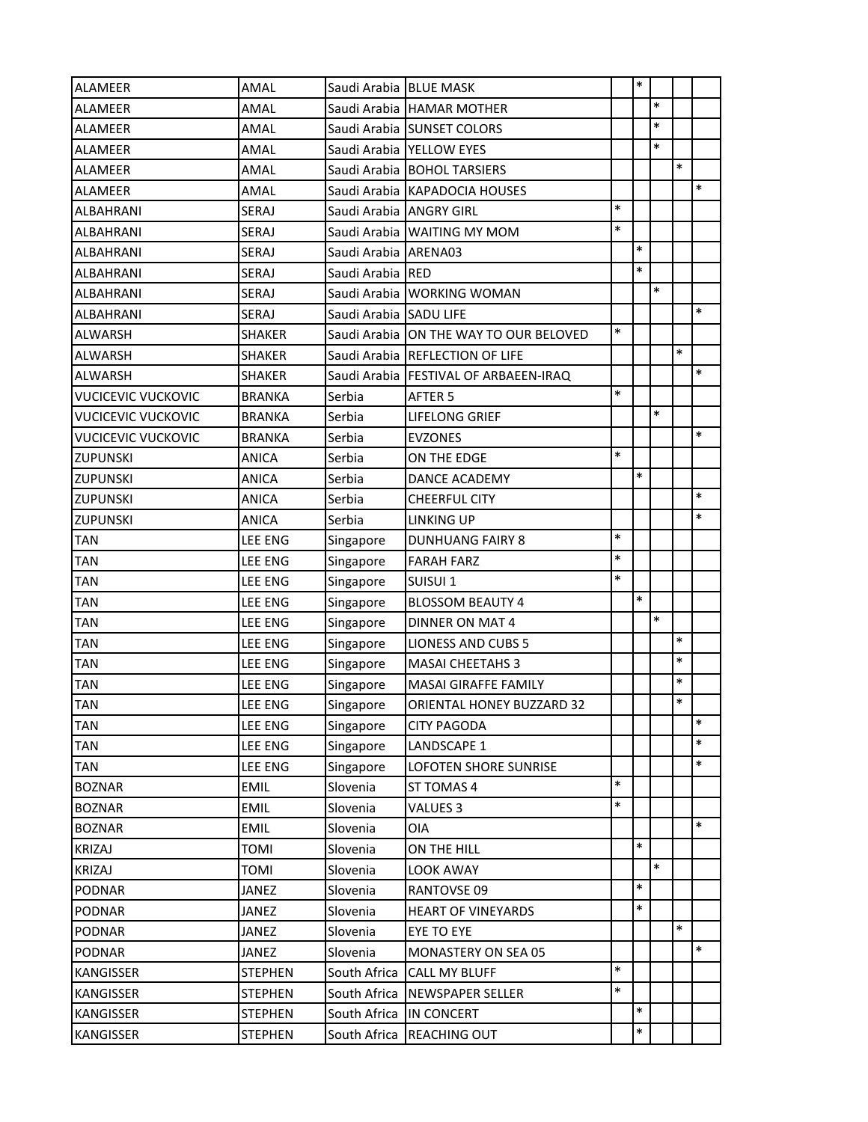| <b>ALAMEER</b>            | AMAL           | Saudi Arabia BLUE MASK  |                                         |        | $\ast$ |        |        |        |
|---------------------------|----------------|-------------------------|-----------------------------------------|--------|--------|--------|--------|--------|
| <b>ALAMEER</b>            | AMAL           |                         | Saudi Arabia HAMAR MOTHER               |        |        | $\ast$ |        |        |
| <b>ALAMEER</b>            | AMAL           |                         | Saudi Arabia SUNSET COLORS              |        |        | $\ast$ |        |        |
| <b>ALAMEER</b>            | AMAL           |                         | Saudi Arabia YELLOW EYES                |        |        | $\ast$ |        |        |
| <b>ALAMEER</b>            | AMAL           |                         | Saudi Arabia BOHOL TARSIERS             |        |        |        | $\ast$ |        |
| <b>ALAMEER</b>            | AMAL           |                         | Saudi Arabia KAPADOCIA HOUSES           |        |        |        |        | $\ast$ |
| ALBAHRANI                 | SERAJ          | Saudi Arabia ANGRY GIRL |                                         | $\ast$ |        |        |        |        |
| <b>ALBAHRANI</b>          | SERAJ          |                         | Saudi Arabia WAITING MY MOM             | $\ast$ |        |        |        |        |
| ALBAHRANI                 | SERAJ          | Saudi Arabia ARENA03    |                                         |        | $\ast$ |        |        |        |
| ALBAHRANI                 | SERAJ          | Saudi Arabia RED        |                                         |        | $\ast$ |        |        |        |
| <b>ALBAHRANI</b>          | <b>SERAJ</b>   |                         | Saudi Arabia WORKING WOMAN              |        |        | $\ast$ |        |        |
| ALBAHRANI                 | SERAJ          | Saudi Arabia SADU LIFE  |                                         |        |        |        |        | $\ast$ |
| <b>ALWARSH</b>            | <b>SHAKER</b>  |                         | Saudi Arabia ON THE WAY TO OUR BELOVED  | $\ast$ |        |        |        |        |
| ALWARSH                   | <b>SHAKER</b>  |                         | Saudi Arabia REFLECTION OF LIFE         |        |        |        | $\ast$ |        |
| <b>ALWARSH</b>            | <b>SHAKER</b>  |                         | Saudi Arabia   FESTIVAL OF ARBAEEN-IRAQ |        |        |        |        | $\ast$ |
| <b>VUCICEVIC VUCKOVIC</b> | <b>BRANKA</b>  | Serbia                  | AFTER 5                                 | $\ast$ |        |        |        |        |
| <b>VUCICEVIC VUCKOVIC</b> | <b>BRANKA</b>  | Serbia                  | LIFELONG GRIEF                          |        |        | $\ast$ |        |        |
| <b>VUCICEVIC VUCKOVIC</b> | <b>BRANKA</b>  | Serbia                  | <b>EVZONES</b>                          |        |        |        |        | $\ast$ |
| <b>ZUPUNSKI</b>           | ANICA          | Serbia                  | ON THE EDGE                             | $\ast$ |        |        |        |        |
| <b>ZUPUNSKI</b>           | <b>ANICA</b>   | Serbia                  | DANCE ACADEMY                           |        | $\ast$ |        |        |        |
| <b>ZUPUNSKI</b>           | ANICA          | Serbia                  | <b>CHEERFUL CITY</b>                    |        |        |        |        | $\ast$ |
| <b>ZUPUNSKI</b>           | <b>ANICA</b>   | Serbia                  | <b>LINKING UP</b>                       |        |        |        |        | $\ast$ |
| <b>TAN</b>                | <b>LEE ENG</b> | Singapore               | <b>DUNHUANG FAIRY 8</b>                 | $\ast$ |        |        |        |        |
| <b>TAN</b>                | <b>LEE ENG</b> | Singapore               | <b>FARAH FARZ</b>                       | $\ast$ |        |        |        |        |
| <b>TAN</b>                | <b>LEE ENG</b> | Singapore               | SUISUI 1                                | $\ast$ |        |        |        |        |
| <b>TAN</b>                | <b>LEE ENG</b> | Singapore               | <b>BLOSSOM BEAUTY 4</b>                 |        | $\ast$ |        |        |        |
| <b>TAN</b>                | <b>LEE ENG</b> | Singapore               | <b>DINNER ON MAT 4</b>                  |        |        | $\ast$ |        |        |
| <b>TAN</b>                | <b>LEE ENG</b> | Singapore               | <b>LIONESS AND CUBS 5</b>               |        |        |        | *      |        |
| <b>TAN</b>                | <b>LEE ENG</b> | Singapore               | <b>MASAI CHEETAHS 3</b>                 |        |        |        | $\ast$ |        |
| <b>TAN</b>                | <b>LEE ENG</b> | Singapore               | <b>MASAI GIRAFFE FAMILY</b>             |        |        |        | $\ast$ |        |
| <b>TAN</b>                | <b>LEE ENG</b> | Singapore               | ORIENTAL HONEY BUZZARD 32               |        |        |        | $\ast$ |        |
| <b>TAN</b>                | LEE ENG        | Singapore               | <b>CITY PAGODA</b>                      |        |        |        |        | $\ast$ |
| <b>TAN</b>                | <b>LEE ENG</b> | Singapore               | LANDSCAPE 1                             |        |        |        |        | $\ast$ |
| TAN                       | LEE ENG        | Singapore               | LOFOTEN SHORE SUNRISE                   |        |        |        |        | $\ast$ |
| <b>BOZNAR</b>             | <b>EMIL</b>    | Slovenia                | ST TOMAS 4                              | $\ast$ |        |        |        |        |
| <b>BOZNAR</b>             | <b>EMIL</b>    | Slovenia                | VALUES 3                                | $\ast$ |        |        |        |        |
| <b>BOZNAR</b>             | <b>EMIL</b>    | Slovenia                | OIA                                     |        |        |        |        | $\ast$ |
| <b>KRIZAJ</b>             | <b>TOMI</b>    | Slovenia                | ON THE HILL                             |        | $\ast$ |        |        |        |
| <b>KRIZAJ</b>             | TOMI           | Slovenia                | <b>LOOK AWAY</b>                        |        |        | *      |        |        |
| <b>PODNAR</b>             | JANEZ          | Slovenia                | RANTOVSE 09                             |        | $\ast$ |        |        |        |
| <b>PODNAR</b>             | JANEZ          | Slovenia                | <b>HEART OF VINEYARDS</b>               |        | $\ast$ |        |        |        |
| <b>PODNAR</b>             | JANEZ          | Slovenia                | EYE TO EYE                              |        |        |        | $\ast$ |        |
| <b>PODNAR</b>             | JANEZ          | Slovenia                | MONASTERY ON SEA 05                     |        |        |        |        | $\ast$ |
| <b>KANGISSER</b>          | <b>STEPHEN</b> | South Africa            | <b>CALL MY BLUFF</b>                    | $\ast$ |        |        |        |        |
| <b>KANGISSER</b>          | <b>STEPHEN</b> | South Africa            | <b>NEWSPAPER SELLER</b>                 | $\ast$ |        |        |        |        |
| <b>KANGISSER</b>          | <b>STEPHEN</b> | South Africa            | <b>IN CONCERT</b>                       |        | $\ast$ |        |        |        |
| <b>KANGISSER</b>          | <b>STEPHEN</b> | South Africa            | <b>REACHING OUT</b>                     |        | $\ast$ |        |        |        |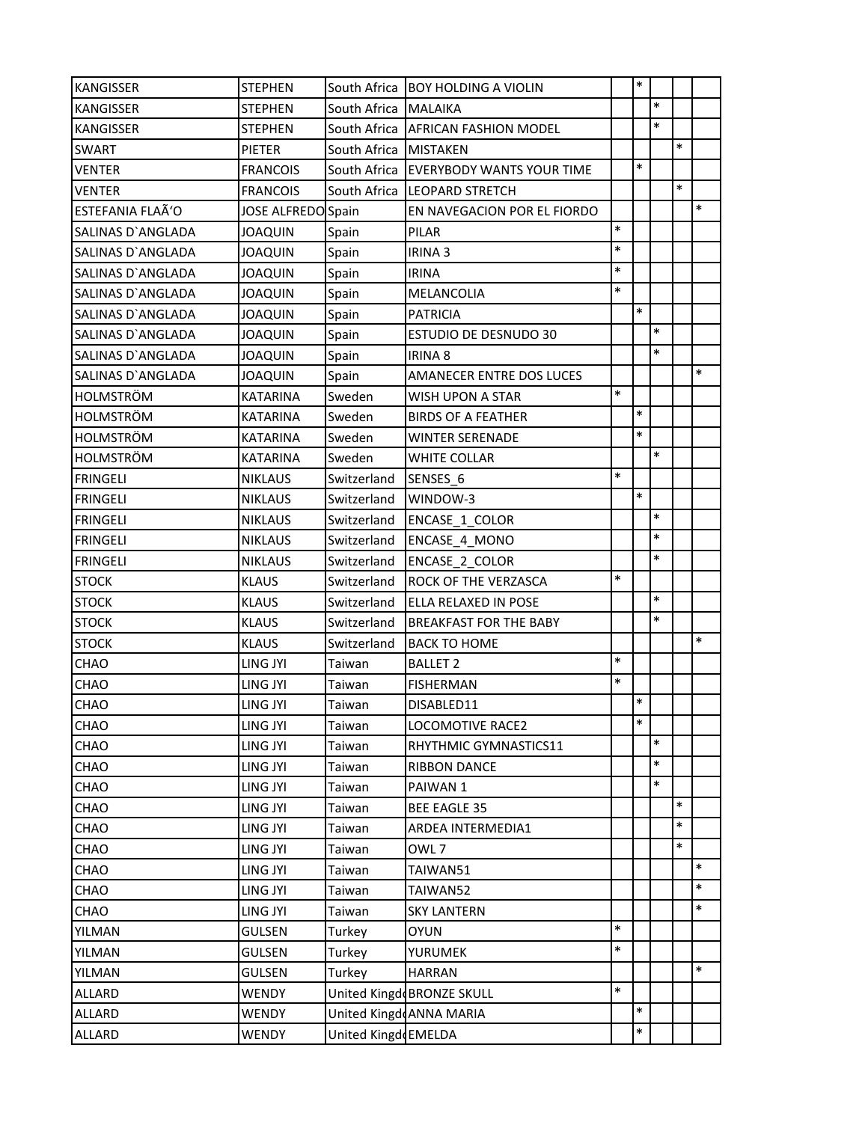| <b>KANGISSER</b>         | <b>STEPHEN</b>     | South Africa        | <b>BOY HOLDING A VIOLIN</b>      |        | $\ast$ |        |        |        |
|--------------------------|--------------------|---------------------|----------------------------------|--------|--------|--------|--------|--------|
| <b>KANGISSER</b>         | <b>STEPHEN</b>     | South Africa        | <b>MALAIKA</b>                   |        |        | $\ast$ |        |        |
| <b>KANGISSER</b>         | <b>STEPHEN</b>     | South Africa        | <b>AFRICAN FASHION MODEL</b>     |        |        | $\ast$ |        |        |
| <b>SWART</b>             | <b>PIETER</b>      | South Africa        | <b>MISTAKEN</b>                  |        |        |        | $\ast$ |        |
| <b>VENTER</b>            | <b>FRANCOIS</b>    | South Africa        | <b>EVERYBODY WANTS YOUR TIME</b> |        | $\ast$ |        |        |        |
| <b>VENTER</b>            | <b>FRANCOIS</b>    | South Africa        | <b>LEOPARD STRETCH</b>           |        |        |        | $\ast$ |        |
| ESTEFANIA FLAÃ'O         | JOSE ALFREDO Spain |                     | EN NAVEGACION POR EL FIORDO      |        |        |        |        | $\ast$ |
| SALINAS D'ANGLADA        | <b>JOAQUIN</b>     | Spain               | PILAR                            | $\ast$ |        |        |        |        |
| <b>SALINAS D'ANGLADA</b> | <b>JOAQUIN</b>     | Spain               | <b>IRINA 3</b>                   | $\ast$ |        |        |        |        |
| SALINAS D'ANGLADA        | <b>JOAQUIN</b>     | Spain               | <b>IRINA</b>                     | $\ast$ |        |        |        |        |
| SALINAS D'ANGLADA        | <b>JOAQUIN</b>     | Spain               | MELANCOLIA                       | *      |        |        |        |        |
| SALINAS D'ANGLADA        | JOAQUIN            | Spain               | <b>PATRICIA</b>                  |        | $\ast$ |        |        |        |
| SALINAS D'ANGLADA        | <b>JOAQUIN</b>     | Spain               | <b>ESTUDIO DE DESNUDO 30</b>     |        |        | $\ast$ |        |        |
| SALINAS D'ANGLADA        | <b>JOAQUIN</b>     | Spain               | <b>IRINA 8</b>                   |        |        | $\ast$ |        |        |
| SALINAS D'ANGLADA        | <b>JOAQUIN</b>     | Spain               | <b>AMANECER ENTRE DOS LUCES</b>  |        |        |        |        | $\ast$ |
| HOLMSTRÖM                | <b>KATARINA</b>    | Sweden              | WISH UPON A STAR                 | $\ast$ |        |        |        |        |
| <b>HOLMSTRÖM</b>         | <b>KATARINA</b>    | Sweden              | <b>BIRDS OF A FEATHER</b>        |        | $\ast$ |        |        |        |
| <b>HOLMSTRÖM</b>         | <b>KATARINA</b>    | Sweden              | <b>WINTER SERENADE</b>           |        | $\ast$ |        |        |        |
| <b>HOLMSTRÖM</b>         | <b>KATARINA</b>    | Sweden              | <b>WHITE COLLAR</b>              |        |        | $\ast$ |        |        |
| <b>FRINGELI</b>          | <b>NIKLAUS</b>     | Switzerland         | SENSES 6                         | $\ast$ |        |        |        |        |
| <b>FRINGELI</b>          | <b>NIKLAUS</b>     | Switzerland         | WINDOW-3                         |        | $\ast$ |        |        |        |
| <b>FRINGELI</b>          | <b>NIKLAUS</b>     | Switzerland         | ENCASE 1_COLOR                   |        |        | $\ast$ |        |        |
| <b>FRINGELI</b>          | <b>NIKLAUS</b>     | Switzerland         | ENCASE 4 MONO                    |        |        | $\ast$ |        |        |
| <b>FRINGELI</b>          | <b>NIKLAUS</b>     | Switzerland         | <b>ENCASE 2 COLOR</b>            |        |        | $\ast$ |        |        |
| <b>STOCK</b>             | <b>KLAUS</b>       | Switzerland         | ROCK OF THE VERZASCA             | $\ast$ |        |        |        |        |
| <b>STOCK</b>             | <b>KLAUS</b>       | Switzerland         | ELLA RELAXED IN POSE             |        |        | $\ast$ |        |        |
| <b>STOCK</b>             | <b>KLAUS</b>       | Switzerland         | <b>BREAKFAST FOR THE BABY</b>    |        |        | $\ast$ |        |        |
| <b>STOCK</b>             | <b>KLAUS</b>       | Switzerland         | <b>BACK TO HOME</b>              |        |        |        |        | $\ast$ |
| CHAO                     | LING JYI           | Taiwan              | <b>BALLET 2</b>                  | $\ast$ |        |        |        |        |
| CHAO                     | LING JYI           | Taiwan              | <b>FISHERMAN</b>                 | $\ast$ |        |        |        |        |
| CHAO                     | LING JYI           | Taiwan              | DISABLED11                       |        | $\ast$ |        |        |        |
| CHAO                     | LING JYI           | Taiwan              | LOCOMOTIVE RACE2                 |        | $\ast$ |        |        |        |
| CHAO                     | LING JYI           | Taiwan              | RHYTHMIC GYMNASTICS11            |        |        | $\ast$ |        |        |
| CHAO                     | LING JYI           | Taiwan              | <b>RIBBON DANCE</b>              |        |        | $\ast$ |        |        |
| CHAO                     | LING JYI           | Taiwan              | PAIWAN 1                         |        |        | $\ast$ |        |        |
| CHAO                     | LING JYI           | Taiwan              | <b>BEE EAGLE 35</b>              |        |        |        | $\ast$ |        |
| CHAO                     | LING JYI           | Taiwan              | ARDEA INTERMEDIA1                |        |        |        | $\ast$ |        |
| CHAO                     | LING JYI           | Taiwan              | OWL 7                            |        |        |        | $\ast$ |        |
| CHAO                     | LING JYI           | Taiwan              | TAIWAN51                         |        |        |        |        | $\ast$ |
| CHAO                     | LING JYI           | Taiwan              | TAIWAN52                         |        |        |        |        | $\ast$ |
| CHAO                     | LING JYI           | Taiwan              | <b>SKY LANTERN</b>               |        |        |        |        | $\ast$ |
| YILMAN                   | <b>GULSEN</b>      | Turkey              | <b>OYUN</b>                      | $\ast$ |        |        |        |        |
| YILMAN                   | GULSEN             | Turkey              | <b>YURUMEK</b>                   | $\ast$ |        |        |        |        |
| YILMAN                   | <b>GULSEN</b>      | Turkey              | <b>HARRAN</b>                    |        |        |        |        | $\ast$ |
| ALLARD                   | WENDY              |                     | United Kingd BRONZE SKULL        | $\ast$ |        |        |        |        |
| ALLARD                   | WENDY              |                     | United Kingd ANNA MARIA          |        | $\ast$ |        |        |        |
| ALLARD                   | WENDY              | United Kingd EMELDA |                                  |        | $\ast$ |        |        |        |
|                          |                    |                     |                                  |        |        |        |        |        |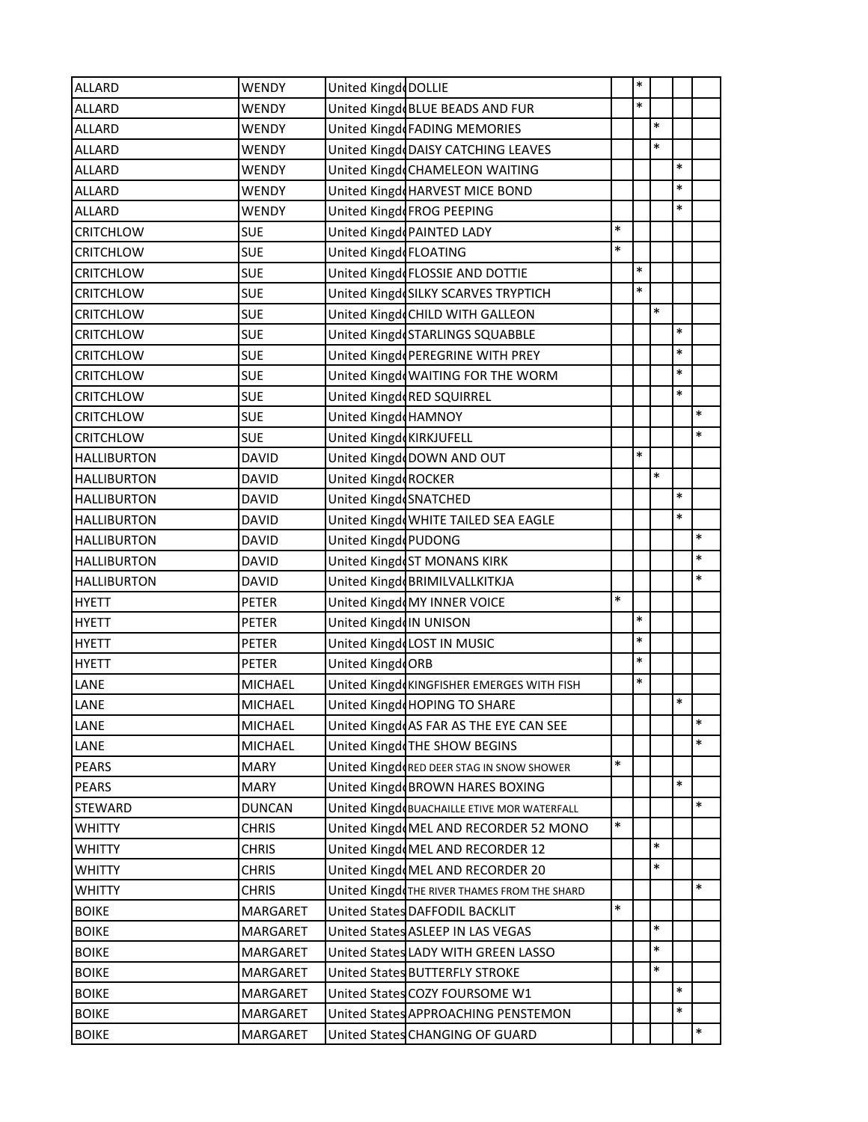| <b>ALLARD</b>      | <b>WENDY</b>   | United Kingd DOLLIE     |                                              |        | $\ast$ |        |        |        |
|--------------------|----------------|-------------------------|----------------------------------------------|--------|--------|--------|--------|--------|
| ALLARD             | WENDY          |                         | United Kingd BLUE BEADS AND FUR              |        | $\ast$ |        |        |        |
| <b>ALLARD</b>      | WENDY          |                         | United Kingd FADING MEMORIES                 |        |        | $\ast$ |        |        |
| <b>ALLARD</b>      | WENDY          |                         | United Kingd DAISY CATCHING LEAVES           |        |        | *      |        |        |
| <b>ALLARD</b>      | WENDY          |                         | United Kingd CHAMELEON WAITING               |        |        |        | $\ast$ |        |
| <b>ALLARD</b>      | WENDY          |                         | United Kingd HARVEST MICE BOND               |        |        |        | $\ast$ |        |
| <b>ALLARD</b>      | WENDY          |                         | United Kingd FROG PEEPING                    |        |        |        | $\ast$ |        |
| <b>CRITCHLOW</b>   | <b>SUE</b>     |                         | United Kingd PAINTED LADY                    | $\ast$ |        |        |        |        |
| <b>CRITCHLOW</b>   | <b>SUE</b>     | United KingdeFLOATING   |                                              | *      |        |        |        |        |
| <b>CRITCHLOW</b>   | <b>SUE</b>     |                         | United KingdeFLOSSIE AND DOTTIE              |        | $\ast$ |        |        |        |
| <b>CRITCHLOW</b>   | <b>SUE</b>     |                         | United KingdeSILKY SCARVES TRYPTICH          |        | $\ast$ |        |        |        |
| <b>CRITCHLOW</b>   | <b>SUE</b>     |                         | United Kingd CHILD WITH GALLEON              |        |        | $\ast$ |        |        |
| <b>CRITCHLOW</b>   | <b>SUE</b>     |                         | United Kingd STARLINGS SQUABBLE              |        |        |        | $\ast$ |        |
| <b>CRITCHLOW</b>   | <b>SUE</b>     |                         | United Kingd PEREGRINE WITH PREY             |        |        |        | $\ast$ |        |
| <b>CRITCHLOW</b>   | <b>SUE</b>     |                         | United Kingd WAITING FOR THE WORM            |        |        |        | $\ast$ |        |
| <b>CRITCHLOW</b>   | <b>SUE</b>     |                         | United Kingd RED SQUIRREL                    |        |        |        | $\ast$ |        |
| <b>CRITCHLOW</b>   | <b>SUE</b>     | United Kingd HAMNOY     |                                              |        |        |        |        | $\ast$ |
| <b>CRITCHLOW</b>   | <b>SUE</b>     | United Kingd KIRKJUFELL |                                              |        |        |        |        | $\ast$ |
| <b>HALLIBURTON</b> | <b>DAVID</b>   |                         | United Kingd DOWN AND OUT                    |        | $\ast$ |        |        |        |
| <b>HALLIBURTON</b> | <b>DAVID</b>   | United Kingd ROCKER     |                                              |        |        | $\ast$ |        |        |
| <b>HALLIBURTON</b> | <b>DAVID</b>   | United Kingd SNATCHED   |                                              |        |        |        | $\ast$ |        |
| <b>HALLIBURTON</b> | <b>DAVID</b>   |                         | United KingdoWHITE TAILED SEA EAGLE          |        |        |        | $\ast$ |        |
| <b>HALLIBURTON</b> | <b>DAVID</b>   | United Kingd PUDONG     |                                              |        |        |        |        | $\ast$ |
| <b>HALLIBURTON</b> | <b>DAVID</b>   |                         | United KingdoST MONANS KIRK                  |        |        |        |        | $\ast$ |
| <b>HALLIBURTON</b> | <b>DAVID</b>   |                         | United Kingd BRIMILVALLKITKJA                |        |        |        |        | $\ast$ |
| <b>HYETT</b>       | <b>PETER</b>   |                         | United KingdoMY INNER VOICE                  | $\ast$ |        |        |        |        |
| <b>HYETT</b>       | <b>PETER</b>   | United KingdoN UNISON   |                                              |        | $\ast$ |        |        |        |
| <b>HYETT</b>       | <b>PETER</b>   |                         | United Kingd LOST IN MUSIC                   |        | $\ast$ |        |        |        |
| <b>HYETT</b>       | PETER          | United KingdoRB         |                                              |        | $\ast$ |        |        |        |
| LANE               | <b>MICHAEL</b> |                         | United Kingd KINGFISHER EMERGES WITH FISH    |        | $\ast$ |        |        |        |
| LANE               | <b>MICHAEL</b> |                         | United KingddHOPING TO SHARE                 |        |        |        | $\ast$ |        |
| LANE               | <b>MICHAEL</b> |                         | United KingdoAS FAR AS THE EYE CAN SEE       |        |        |        |        | $\ast$ |
| LANE               | <b>MICHAEL</b> |                         | United KingdoTHE SHOW BEGINS                 |        |        |        |        | $\ast$ |
| <b>PEARS</b>       | <b>MARY</b>    |                         | United KingdoRED DEER STAG IN SNOW SHOWER    | $\ast$ |        |        |        |        |
| <b>PEARS</b>       | <b>MARY</b>    |                         | United Kingd BROWN HARES BOXING              |        |        |        | $\ast$ |        |
| STEWARD            | <b>DUNCAN</b>  |                         | United Kingd BUACHAILLE ETIVE MOR WATERFALL  |        |        |        |        | $\ast$ |
| <b>WHITTY</b>      | <b>CHRIS</b>   |                         | United Kingd MEL AND RECORDER 52 MONO        | $\ast$ |        |        |        |        |
| <b>WHITTY</b>      | <b>CHRIS</b>   |                         | United KingdoMEL AND RECORDER 12             |        |        | $\ast$ |        |        |
| <b>WHITTY</b>      | <b>CHRIS</b>   |                         | United KingdoMEL AND RECORDER 20             |        |        | $\ast$ |        |        |
| <b>WHITTY</b>      | <b>CHRIS</b>   |                         | United KingdoTHE RIVER THAMES FROM THE SHARD |        |        |        |        | $\ast$ |
| <b>BOIKE</b>       | MARGARET       |                         | United States DAFFODIL BACKLIT               | $\ast$ |        |        |        |        |
| <b>BOIKE</b>       | MARGARET       |                         | United States ASLEEP IN LAS VEGAS            |        |        | $\ast$ |        |        |
| <b>BOIKE</b>       | MARGARET       |                         | United States LADY WITH GREEN LASSO          |        |        | $\ast$ |        |        |
| <b>BOIKE</b>       | MARGARET       |                         | United States BUTTERFLY STROKE               |        |        | $\ast$ |        |        |
| <b>BOIKE</b>       | MARGARET       |                         | United States COZY FOURSOME W1               |        |        |        | $\ast$ |        |
| <b>BOIKE</b>       | MARGARET       |                         | United States APPROACHING PENSTEMON          |        |        |        | $\ast$ |        |
| <b>BOIKE</b>       | MARGARET       |                         | United States CHANGING OF GUARD              |        |        |        |        | $\ast$ |